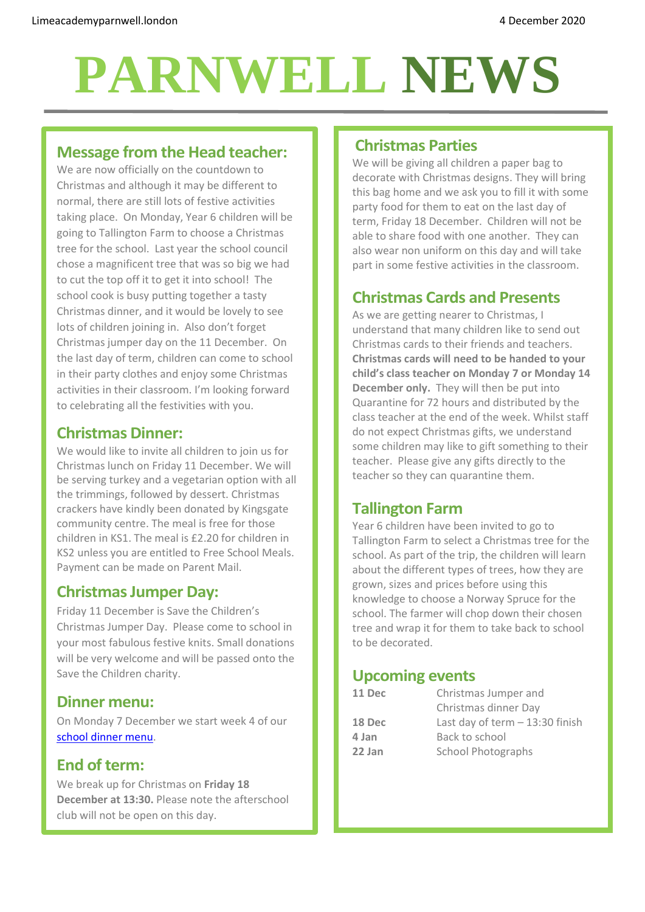# **PARNWELL NEWS**

# **Message from the Head teacher:**

We are now officially on the countdown to Christmas and although it may be different to normal, there are still lots of festive activities taking place. On Monday, Year 6 children will be going to Tallington Farm to choose a Christmas tree for the school. Last year the school council chose a magnificent tree that was so big we had to cut the top off it to get it into school! The school cook is busy putting together a tasty Christmas dinner, and it would be lovely to see lots of children joining in. Also don't forget Christmas jumper day on the 11 December. On the last day of term, children can come to school in their party clothes and enjoy some Christmas activities in their classroom. I'm looking forward to celebrating all the festivities with you.

## **Christmas Dinner:**

We would like to invite all children to join us for Christmas lunch on Friday 11 December. We will be serving turkey and a vegetarian option with all the trimmings, followed by dessert. Christmas crackers have kindly been donated by Kingsgate community centre. The meal is free for those children in KS1. The meal is £2.20 for children in KS2 unless you are entitled to Free School Meals. Payment can be made on Parent Mail.

## **Christmas Jumper Day:**

Friday 11 December is Save the Children's Christmas Jumper Day. Please come to school in your most fabulous festive knits. Small donations will be very welcome and will be passed onto the Save the Children charity.

#### **Dinner menu:**

On Monday 7 December we start week 4 of our [school dinner menu.](http://limeacademyparnwell.london/media/3932/dinner-menu-2020-09-18.pdf)

## **End of term:**

We break up for Christmas on **Friday 18 December at 13:30.** Please note the afterschool club will not be open on this day.

#### **Christmas Parties**

We will be giving all children a paper bag to decorate with Christmas designs. They will bring this bag home and we ask you to fill it with some party food for them to eat on the last day of term, Friday 18 December. Children will not be able to share food with one another. They can also wear non uniform on this day and will take part in some festive activities in the classroom.

# **Christmas Cards and Presents**

As we are getting nearer to Christmas, I understand that many children like to send out Christmas cards to their friends and teachers. **Christmas cards will need to be handed to your child's class teacher on Monday 7 or Monday 14 December only.** They will then be put into Quarantine for 72 hours and distributed by the class teacher at the end of the week. Whilst staff do not expect Christmas gifts, we understand some children may like to gift something to their teacher. Please give any gifts directly to the teacher so they can quarantine them.

## **Tallington Farm**

Year 6 children have been invited to go to Tallington Farm to select a Christmas tree for the school. As part of the trip, the children will learn about the different types of trees, how they are grown, sizes and prices before using this knowledge to choose a Norway Spruce for the school. The farmer will chop down their chosen tree and wrap it for them to take back to school to be decorated.

## **Upcoming events**

**11 Dec** Christmas Jumper and Christmas dinner Day **18 Dec** Last day of term – 13:30 finish **4 Jan** Back to school **22 Jan** School Photographs